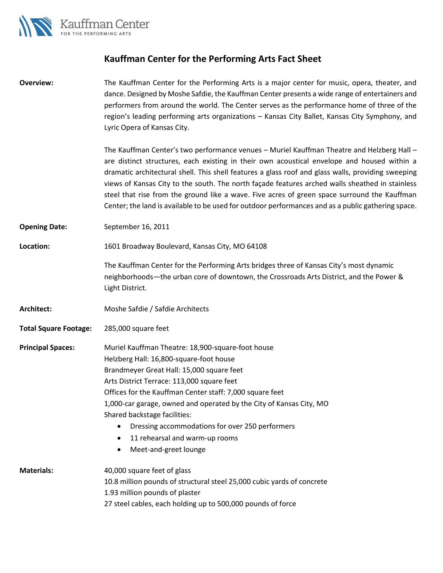

## **Kauffman Center for the Performing Arts Fact Sheet**

| <b>Overview:</b>             | The Kauffman Center for the Performing Arts is a major center for music, opera, theater, and<br>dance. Designed by Moshe Safdie, the Kauffman Center presents a wide range of entertainers and<br>performers from around the world. The Center serves as the performance home of three of the<br>region's leading performing arts organizations - Kansas City Ballet, Kansas City Symphony, and<br>Lyric Opera of Kansas City.                                                                                                                                                                           |
|------------------------------|----------------------------------------------------------------------------------------------------------------------------------------------------------------------------------------------------------------------------------------------------------------------------------------------------------------------------------------------------------------------------------------------------------------------------------------------------------------------------------------------------------------------------------------------------------------------------------------------------------|
|                              | The Kauffman Center's two performance venues - Muriel Kauffman Theatre and Helzberg Hall -<br>are distinct structures, each existing in their own acoustical envelope and housed within a<br>dramatic architectural shell. This shell features a glass roof and glass walls, providing sweeping<br>views of Kansas City to the south. The north façade features arched walls sheathed in stainless<br>steel that rise from the ground like a wave. Five acres of green space surround the Kauffman<br>Center; the land is available to be used for outdoor performances and as a public gathering space. |
| <b>Opening Date:</b>         | September 16, 2011                                                                                                                                                                                                                                                                                                                                                                                                                                                                                                                                                                                       |
| Location:                    | 1601 Broadway Boulevard, Kansas City, MO 64108                                                                                                                                                                                                                                                                                                                                                                                                                                                                                                                                                           |
|                              | The Kauffman Center for the Performing Arts bridges three of Kansas City's most dynamic<br>neighborhoods-the urban core of downtown, the Crossroads Arts District, and the Power &<br>Light District.                                                                                                                                                                                                                                                                                                                                                                                                    |
| Architect:                   | Moshe Safdie / Safdie Architects                                                                                                                                                                                                                                                                                                                                                                                                                                                                                                                                                                         |
| <b>Total Square Footage:</b> | 285,000 square feet                                                                                                                                                                                                                                                                                                                                                                                                                                                                                                                                                                                      |
| <b>Principal Spaces:</b>     | Muriel Kauffman Theatre: 18,900-square-foot house<br>Helzberg Hall: 16,800-square-foot house<br>Brandmeyer Great Hall: 15,000 square feet<br>Arts District Terrace: 113,000 square feet<br>Offices for the Kauffman Center staff: 7,000 square feet<br>1,000-car garage, owned and operated by the City of Kansas City, MO<br>Shared backstage facilities:<br>Dressing accommodations for over 250 performers<br>11 rehearsal and warm-up rooms<br>$\bullet$<br>Meet-and-greet lounge<br>$\bullet$                                                                                                       |
| <b>Materials:</b>            | 40,000 square feet of glass<br>10.8 million pounds of structural steel 25,000 cubic yards of concrete<br>1.93 million pounds of plaster<br>27 steel cables, each holding up to 500,000 pounds of force                                                                                                                                                                                                                                                                                                                                                                                                   |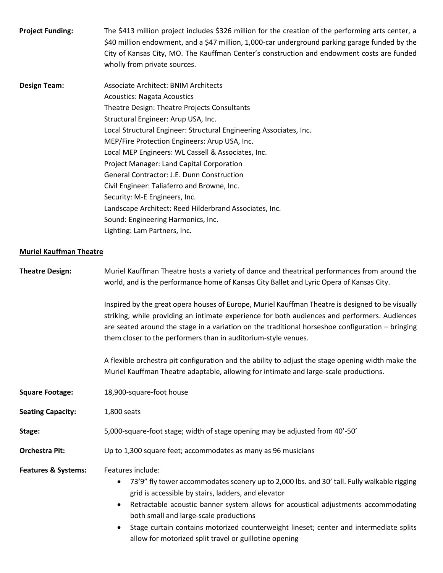| <b>Project Funding:</b> | The \$413 million project includes \$326 million for the creation of the performing arts center, a |
|-------------------------|----------------------------------------------------------------------------------------------------|
|                         | \$40 million endowment, and a \$47 million, 1,000-car underground parking garage funded by the     |
|                         | City of Kansas City, MO. The Kauffman Center's construction and endowment costs are funded         |
|                         | wholly from private sources.                                                                       |

**Design Team:** Associate Architect: BNIM Architects Acoustics: Nagata Acoustics Theatre Design: Theatre Projects Consultants Structural Engineer: Arup USA, Inc. Local Structural Engineer: Structural Engineering Associates, Inc. MEP/Fire Protection Engineers: Arup USA, Inc. Local MEP Engineers: WL Cassell & Associates, Inc. Project Manager: Land Capital Corporation General Contractor: J.E. Dunn Construction Civil Engineer: Taliaferro and Browne, Inc. Security: M-E Engineers, Inc. Landscape Architect: Reed Hilderbrand Associates, Inc. Sound: Engineering Harmonics, Inc. Lighting: Lam Partners, Inc.

## **Muriel Kauffman Theatre**

| <b>Theatre Design:</b>         | Muriel Kauffman Theatre hosts a variety of dance and theatrical performances from around the<br>world, and is the performance home of Kansas City Ballet and Lyric Opera of Kansas City.                                                                                                                                                                                                                                                                                             |
|--------------------------------|--------------------------------------------------------------------------------------------------------------------------------------------------------------------------------------------------------------------------------------------------------------------------------------------------------------------------------------------------------------------------------------------------------------------------------------------------------------------------------------|
|                                | Inspired by the great opera houses of Europe, Muriel Kauffman Theatre is designed to be visually<br>striking, while providing an intimate experience for both audiences and performers. Audiences<br>are seated around the stage in a variation on the traditional horseshoe configuration - bringing<br>them closer to the performers than in auditorium-style venues.                                                                                                              |
|                                | A flexible orchestra pit configuration and the ability to adjust the stage opening width make the<br>Muriel Kauffman Theatre adaptable, allowing for intimate and large-scale productions.                                                                                                                                                                                                                                                                                           |
| <b>Square Footage:</b>         | 18,900-square-foot house                                                                                                                                                                                                                                                                                                                                                                                                                                                             |
| <b>Seating Capacity:</b>       | 1,800 seats                                                                                                                                                                                                                                                                                                                                                                                                                                                                          |
| Stage:                         | 5,000-square-foot stage; width of stage opening may be adjusted from 40'-50'                                                                                                                                                                                                                                                                                                                                                                                                         |
| <b>Orchestra Pit:</b>          | Up to 1,300 square feet; accommodates as many as 96 musicians                                                                                                                                                                                                                                                                                                                                                                                                                        |
| <b>Features &amp; Systems:</b> | Features include:<br>73'9" fly tower accommodates scenery up to 2,000 lbs. and 30' tall. Fully walkable rigging<br>$\bullet$<br>grid is accessible by stairs, ladders, and elevator<br>Retractable acoustic banner system allows for acoustical adjustments accommodating<br>$\bullet$<br>both small and large-scale productions<br>Stage curtain contains motorized counterweight lineset; center and intermediate splits<br>allow for motorized split travel or guillotine opening |